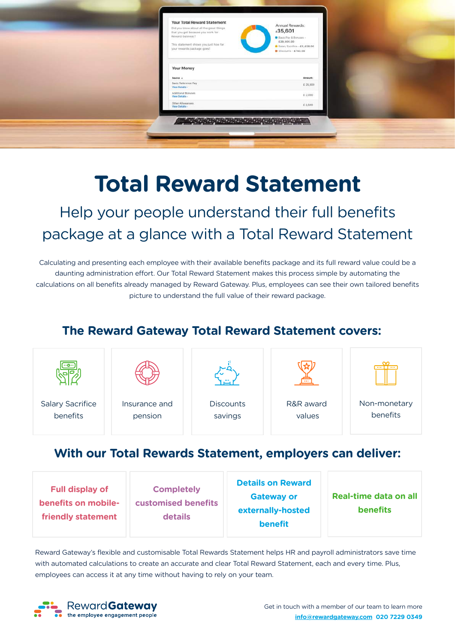

# **Total Reward Statement**

Help your people understand their full benefits package at a glance with a Total Reward Statement

Calculating and presenting each employee with their available benefits package and its full reward value could be a daunting administration effort. Our Total Reward Statement makes this process simple by automating the calculations on all benefits already managed by Reward Gateway. Plus, employees can see their own tailored benefits picture to understand the full value of their reward package.

#### **The Reward Gateway Total Reward Statement covers:**

| $\cdot$ -0 $\cdot$      |               |                  | <b>STATE</b> | <b>CONTINUES INC.</b> |
|-------------------------|---------------|------------------|--------------|-----------------------|
| <b>Salary Sacrifice</b> | Insurance and | <b>Discounts</b> | R&R award    | Non-monetary          |
| benefits                | pension       | savings          | values       | benefits              |

## **With our Total Rewards Statement, employers can deliver:**

| <b>Full display of</b><br>benefits on mobile-<br>friendly statement | <b>Completely</b><br><b>customised benefits</b><br><b>details</b> | <b>Details on Reward</b><br><b>Gateway or</b><br>externally-hosted<br><b>benefit</b> | Real-time data on all<br><b>benefits</b> |
|---------------------------------------------------------------------|-------------------------------------------------------------------|--------------------------------------------------------------------------------------|------------------------------------------|
|---------------------------------------------------------------------|-------------------------------------------------------------------|--------------------------------------------------------------------------------------|------------------------------------------|

Reward Gateway's flexible and customisable Total Rewards Statement helps HR and payroll administrators save time with automated calculations to create an accurate and clear Total Reward Statement, each and every time. Plus, employees can access it at any time without having to rely on your team.